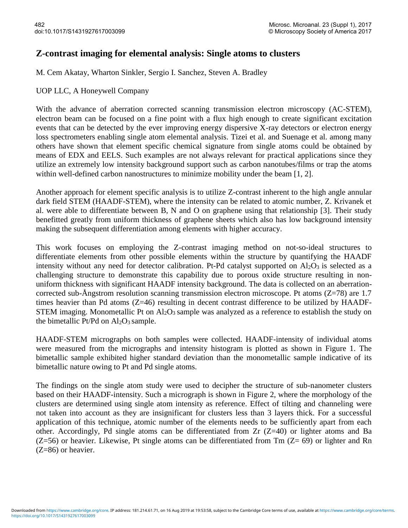## **Z-contrast imaging for elemental analysis: Single atoms to clusters**

M. Cem Akatay, Wharton Sinkler, Sergio I. Sanchez, Steven A. Bradley

## UOP LLC, A Honeywell Company

With the advance of aberration corrected scanning transmission electron microscopy (AC-STEM), electron beam can be focused on a fine point with a flux high enough to create significant excitation events that can be detected by the ever improving energy dispersive X-ray detectors or electron energy loss spectrometers enabling single atom elemental analysis. Tizei et al. and Suenage et al. among many others have shown that element specific chemical signature from single atoms could be obtained by means of EDX and EELS. Such examples are not always relevant for practical applications since they utilize an extremely low intensity background support such as carbon nanotubes/films or trap the atoms within well-defined carbon nanostructures to minimize mobility under the beam [1, 2].

Another approach for element specific analysis is to utilize Z-contrast inherent to the high angle annular dark field STEM (HAADF-STEM), where the intensity can be related to atomic number, Z. Krivanek et al. were able to differentiate between B, N and O on graphene using that relationship [3]. Their study benefitted greatly from uniform thickness of graphene sheets which also has low background intensity making the subsequent differentiation among elements with higher accuracy.

This work focuses on employing the Z-contrast imaging method on not-so-ideal structures to differentiate elements from other possible elements within the structure by quantifying the HAADF intensity without any need for detector calibration. Pt-Pd catalyst supported on  $Al_2O_3$  is selected as a challenging structure to demonstrate this capability due to porous oxide structure resulting in nonuniform thickness with significant HAADF intensity background. The data is collected on an aberrationcorrected sub-Ångstrom resolution scanning transmission electron microscope. Pt atoms  $(Z=78)$  are 1.7 times heavier than Pd atoms (Z=46) resulting in decent contrast difference to be utilized by HAADF-STEM imaging. Monometallic Pt on  $Al_2O_3$  sample was analyzed as a reference to establish the study on the bimetallic Pt/Pd on  $Al_2O_3$  sample.

HAADF-STEM micrographs on both samples were collected. HAADF-intensity of individual atoms were measured from the micrographs and intensity histogram is plotted as shown in Figure 1. The bimetallic sample exhibited higher standard deviation than the monometallic sample indicative of its bimetallic nature owing to Pt and Pd single atoms.

The findings on the single atom study were used to decipher the structure of sub-nanometer clusters based on their HAADF-intensity. Such a micrograph is shown in Figure 2, where the morphology of the clusters are determined using single atom intensity as reference. Effect of tilting and channeling were not taken into account as they are insignificant for clusters less than 3 layers thick. For a successful application of this technique, atomic number of the elements needs to be sufficiently apart from each other. Accordingly, Pd single atoms can be differentiated from Zr (Z=40) or lighter atoms and Ba  $(Z=56)$  or heavier. Likewise, Pt single atoms can be differentiated from Tm  $(Z= 69)$  or lighter and Rn (Z=86) or heavier.